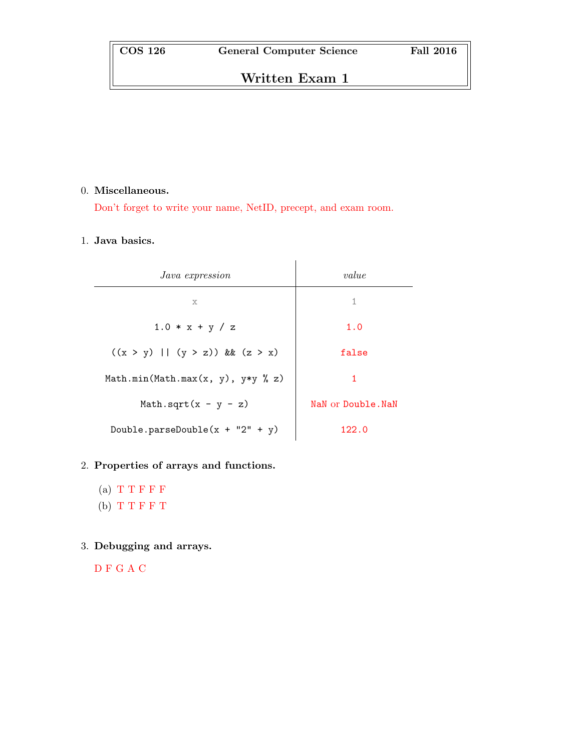# Written Exam 1

### 0. Miscellaneous.

Don't forget to write your name, NetID, precept, and exam room.

# 1. Java basics.

| <i>Java expression</i>              | value              |
|-------------------------------------|--------------------|
| X                                   | 1                  |
| $1.0 * x + y / z$                   | 1.0                |
| $((x > y)    (y > z))$ & $(z > x)$  | false              |
| Math.min(Math.max(x, y), $y*y % z)$ | 1                  |
| Math.sqrt $(x - y - z)$             | NaN or Double. NaN |
| Double.parseDouble( $x + "2" + y$ ) | 122.0              |

# 2. Properties of arrays and functions.

- (a)  $T T F F F$ (b) T T F F T
- 3. Debugging and arrays.

D F G A C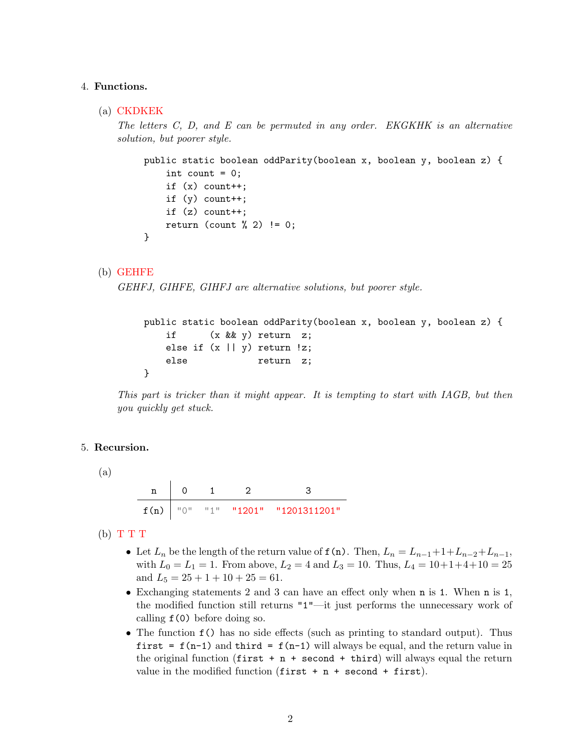#### 4. Functions.

(a) CKDKEK

The letters C, D, and E can be permuted in any order. EKGKHK is an alternative solution, but poorer style.

```
public static boolean oddParity(boolean x, boolean y, boolean z) {
    int count = 0;
    if (x) count++;
    if (y) count++;
    if (z) count++;
    return (count \frac{9}{2}) != 0;
}
```
(b) GEHFE

```
GEHFJ, GIHFE, GIHFJ are alternative solutions, but poorer style.
```

```
public static boolean oddParity(boolean x, boolean y, boolean z) {
   if (x && y) return z;
   else if (x \mid y) return !z;
   else return z;
}
```
This part is tricker than it might appear. It is tempting to start with IAGB, but then you quickly get stuck.

#### 5. Recursion.

(a)

n 0 1 2 3 f(n) "0" "1" "1201" "1201311201"

 $(b)$  T T T

- Let  $L_n$  be the length of the return value of  $f(n)$ . Then,  $L_n = L_{n-1} + 1 + L_{n-2} + L_{n-1}$ , with  $L_0 = L_1 = 1$ . From above,  $L_2 = 4$  and  $L_3 = 10$ . Thus,  $L_4 = 10 + 1 + 4 + 10 = 25$ and  $L_5 = 25 + 1 + 10 + 25 = 61$ .
- Exchanging statements 2 and 3 can have an effect only when n is 1. When n is 1, the modified function still returns "1"—it just performs the unnecessary work of calling f(0) before doing so.
- The function  $f()$  has no side effects (such as printing to standard output). Thus first =  $f(n-1)$  and third =  $f(n-1)$  will always be equal, and the return value in the original function  $(first + n + second + third)$  will always equal the return value in the modified function  $(first + n + second + first)$ .